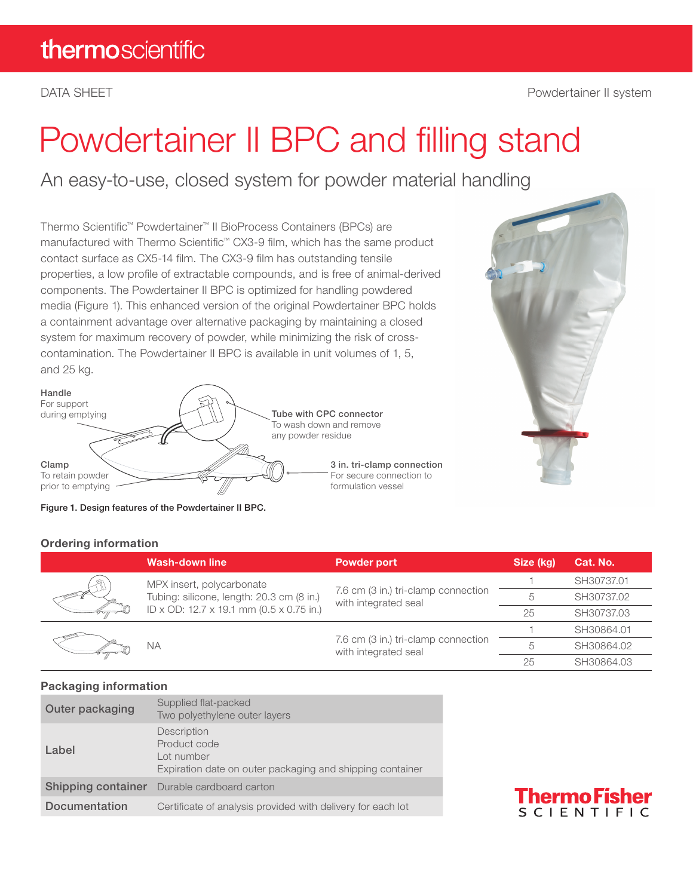# Powdertainer II BPC and filling stand

An easy-to-use, closed system for powder material handling

Thermo Scientific™ Powdertainer™ II BioProcess Containers (BPCs) are manufactured with Thermo Scientific™ CX3-9 film, which has the same product contact surface as CX5-14 film. The CX3-9 film has outstanding tensile properties, a low profile of extractable compounds, and is free of animal-derived components. The Powdertainer II BPC is optimized for handling powdered media (Figure 1). This enhanced version of the original Powdertainer BPC holds a containment advantage over alternative packaging by maintaining a closed system for maximum recovery of powder, while minimizing the risk of crosscontamination. The Powdertainer II BPC is available in unit volumes of 1, 5, and 25 kg.







#### Ordering information

|  | <b>Wash-down line</b>                                                                                              | <b>Powder port</b>                                          | Size (kg) | Cat. No.   |
|--|--------------------------------------------------------------------------------------------------------------------|-------------------------------------------------------------|-----------|------------|
|  | MPX insert, polycarbonate<br>Tubing: silicone, length: 20.3 cm (8 in.)<br>ID x OD: 12.7 x 19.1 mm (0.5 x 0.75 in.) | 7.6 cm (3 in.) tri-clamp connection<br>with integrated seal |           | SH30737.01 |
|  |                                                                                                                    |                                                             | 5         | SH30737.02 |
|  |                                                                                                                    |                                                             | 25        | SH30737.03 |
|  | ΝA                                                                                                                 | 7.6 cm (3 in.) tri-clamp connection<br>with integrated seal |           | SH30864.01 |
|  |                                                                                                                    |                                                             | 5         | SH30864.02 |
|  |                                                                                                                    |                                                             | 25        | SH30864.03 |

#### Packaging information

| Outer packaging    | Supplied flat-packed<br>Two polyethylene outer layers                                                  |
|--------------------|--------------------------------------------------------------------------------------------------------|
| Label              | Description<br>Product code<br>Lot number<br>Expiration date on outer packaging and shipping container |
| Shipping container | Durable cardboard carton                                                                               |
| Documentation      | Certificate of analysis provided with delivery for each lot                                            |